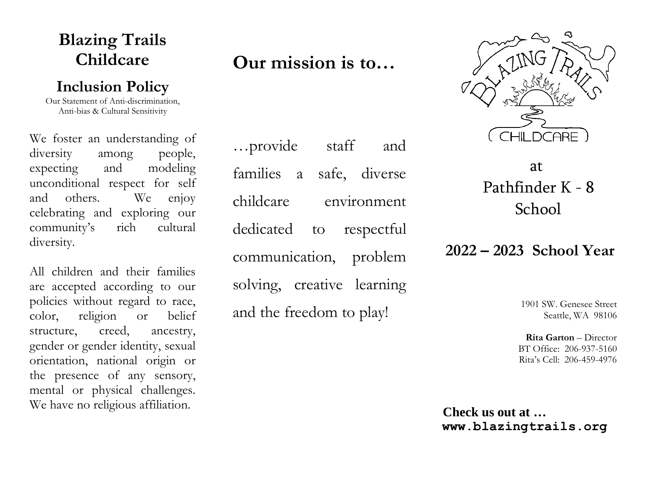# **Blazing Trails Childcare**

## **Inclusion Policy**

Our Statement of Anti-discrimination, Anti-bias & Cultural Sensitivity

We foster an understanding of diversity among people, expecting and modeling unconditional respect for self and others. We enjoy celebrating and exploring our community's rich cultural diversity.

All children and their families are accepted according to our policies without regard to race, color, religion or belief structure, creed, ancestry, gender or gender identity, sexual orientation, national origin or the presence of any sensory, mental or physical challenges. We have no religious affiliation.

# **Our mission is to…**

…provide staff and families a safe, diverse childcare environment dedicated to respectful communication, problem solving, creative learning and the freedom to play!



 at Pathfinder K - 8 School

## **2022 – 2023 School Year**

1901 SW. Genesee Street Seattle, WA 98106

**Rita Garton** – Director BT Office: 206-937-5160 Rita's Cell: 206-459-4976

**Check us out at … www.blazingtrails.org**